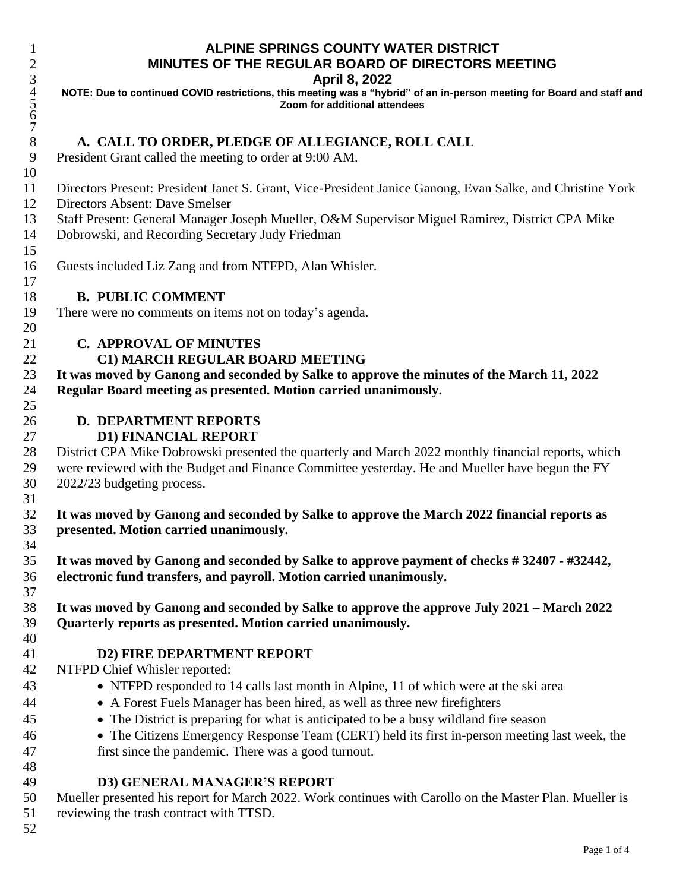## **ALPINE SPRINGS COUNTY WATER DISTRICT MINUTES OF THE REGULAR BOARD OF DIRECTORS MEETING**

#### **April 8, 2022**

 **NOTE: Due to continued COVID restrictions, this meeting was a "hybrid" of an in-person meeting for Board and staff and Zoom for additional attendees**

## **A. CALL TO ORDER, PLEDGE OF ALLEGIANCE, ROLL CALL**

President Grant called the meeting to order at 9:00 AM.

Directors Present: President Janet S. Grant, Vice-President Janice Ganong, Evan Salke*,* and Christine York

Directors Absent: Dave Smelser

 

Staff Present: General Manager Joseph Mueller, O&M Supervisor Miguel Ramirez, District CPA Mike

Dobrowski, and Recording Secretary Judy Friedman

Guests included Liz Zang and from NTFPD, Alan Whisler.

#### **B. PUBLIC COMMENT**

There were no comments on items not on today's agenda.

### **C. APPROVAL OF MINUTES**

### **C1) MARCH REGULAR BOARD MEETING**

 **It was moved by Ganong and seconded by Salke to approve the minutes of the March 11, 2022 Regular Board meeting as presented. Motion carried unanimously.**

# **D. DEPARTMENT REPORTS**

### **D1) FINANCIAL REPORT**

 District CPA Mike Dobrowski presented the quarterly and March 2022 monthly financial reports, which were reviewed with the Budget and Finance Committee yesterday. He and Mueller have begun the FY 2022/23 budgeting process.

 **It was moved by Ganong and seconded by Salke to approve the March 2022 financial reports as presented. Motion carried unanimously.**

 **It was moved by Ganong and seconded by Salke to approve payment of checks # 32407 - #32442, electronic fund transfers, and payroll. Motion carried unanimously.**

 **It was moved by Ganong and seconded by Salke to approve the approve July 2021 – March 2022 Quarterly reports as presented. Motion carried unanimously.**

### **D2) FIRE DEPARTMENT REPORT**

### NTFPD Chief Whisler reported:

- NTFPD responded to 14 calls last month in Alpine, 11 of which were at the ski area
- A Forest Fuels Manager has been hired, as well as three new firefighters
- The District is preparing for what is anticipated to be a busy wildland fire season
- The Citizens Emergency Response Team (CERT) held its first in-person meeting last week, the first since the pandemic. There was a good turnout.
- 

### **D3) GENERAL MANAGER'S REPORT**

 Mueller presented his report for March 2022. Work continues with Carollo on the Master Plan. Mueller is reviewing the trash contract with TTSD.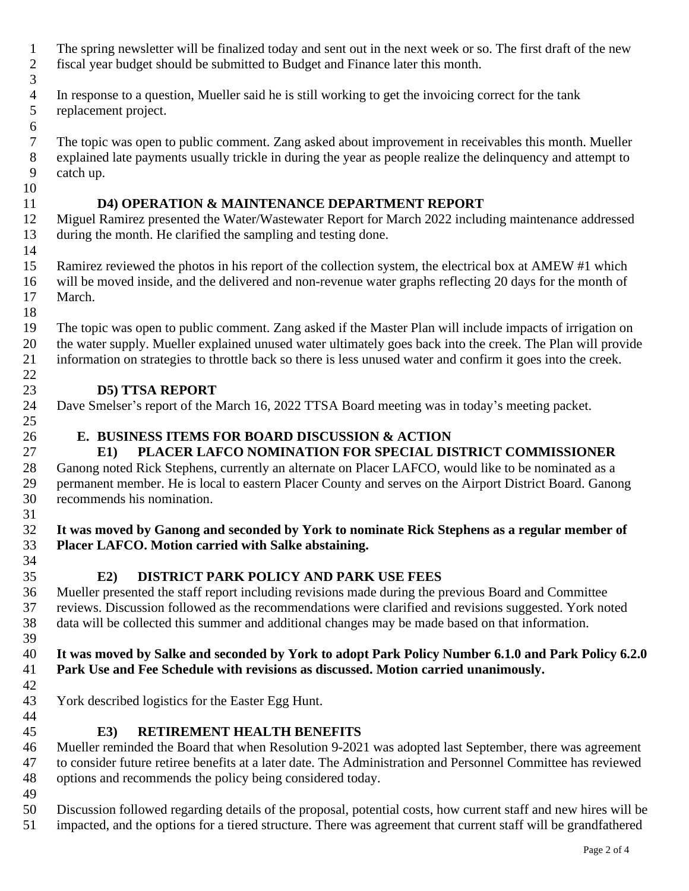- The spring newsletter will be finalized today and sent out in the next week or so. The first draft of the new fiscal year budget should be submitted to Budget and Finance later this month.
- In response to a question, Mueller said he is still working to get the invoicing correct for the tank replacement project.
- The topic was open to public comment. Zang asked about improvement in receivables this month. Mueller explained late payments usually trickle in during the year as people realize the delinquency and attempt to catch up.

## **D4) OPERATION & MAINTENANCE DEPARTMENT REPORT**

 Miguel Ramirez presented the Water/Wastewater Report for March 2022 including maintenance addressed during the month. He clarified the sampling and testing done.

 Ramirez reviewed the photos in his report of the collection system, the electrical box at AMEW #1 which will be moved inside, and the delivered and non-revenue water graphs reflecting 20 days for the month of March.

 The topic was open to public comment. Zang asked if the Master Plan will include impacts of irrigation on the water supply. Mueller explained unused water ultimately goes back into the creek. The Plan will provide information on strategies to throttle back so there is less unused water and confirm it goes into the creek.

## **D5) TTSA REPORT**

Dave Smelser's report of the March 16, 2022 TTSA Board meeting was in today's meeting packet.

# **E. BUSINESS ITEMS FOR BOARD DISCUSSION & ACTION**

# **E1) PLACER LAFCO NOMINATION FOR SPECIAL DISTRICT COMMISSIONER**

 Ganong noted Rick Stephens, currently an alternate on Placer LAFCO, would like to be nominated as a permanent member. He is local to eastern Placer County and serves on the Airport District Board. Ganong recommends his nomination.

## **It was moved by Ganong and seconded by York to nominate Rick Stephens as a regular member of Placer LAFCO. Motion carried with Salke abstaining.**

**E2) DISTRICT PARK POLICY AND PARK USE FEES** 

 Mueller presented the staff report including revisions made during the previous Board and Committee reviews. Discussion followed as the recommendations were clarified and revisions suggested. York noted data will be collected this summer and additional changes may be made based on that information. 

### 40 It was moved by Salke and seconded by York to adopt Park Policy Number 6.1.0 and Park Policy 6.2.0 **Park Use and Fee Schedule with revisions as discussed. Motion carried unanimously.**

York described logistics for the Easter Egg Hunt.

**E3) RETIREMENT HEALTH BENEFITS**

 Mueller reminded the Board that when Resolution 9-2021 was adopted last September, there was agreement to consider future retiree benefits at a later date. The Administration and Personnel Committee has reviewed options and recommends the policy being considered today.

 Discussion followed regarding details of the proposal, potential costs, how current staff and new hires will be impacted, and the options for a tiered structure. There was agreement that current staff will be grandfathered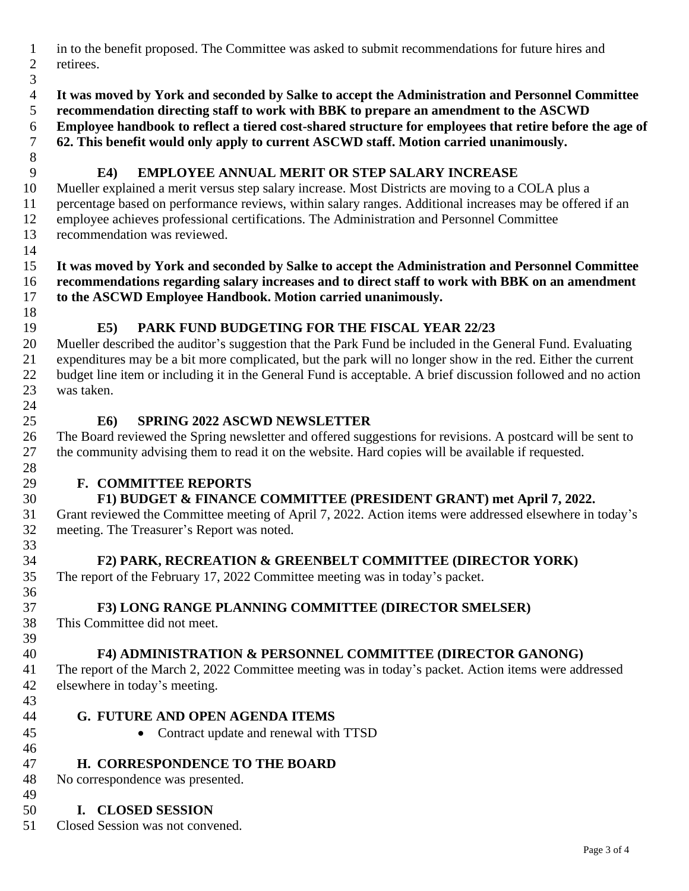- in to the benefit proposed. The Committee was asked to submit recommendations for future hires and retirees.
- 
- **It was moved by York and seconded by Salke to accept the Administration and Personnel Committee recommendation directing staff to work with BBK to prepare an amendment to the ASCWD**
- **Employee handbook to reflect a tiered cost-shared structure for employees that retire before the age of**
- **62. This benefit would only apply to current ASCWD staff. Motion carried unanimously.**
- 

# **E4) EMPLOYEE ANNUAL MERIT OR STEP SALARY INCREASE**

 Mueller explained a merit versus step salary increase. Most Districts are moving to a COLA plus a percentage based on performance reviews, within salary ranges. Additional increases may be offered if an employee achieves professional certifications. The Administration and Personnel Committee recommendation was reviewed.

### **It was moved by York and seconded by Salke to accept the Administration and Personnel Committee recommendations regarding salary increases and to direct staff to work with BBK on an amendment to the ASCWD Employee Handbook. Motion carried unanimously.**

# **E5) PARK FUND BUDGETING FOR THE FISCAL YEAR 22/23**

 Mueller described the auditor's suggestion that the Park Fund be included in the General Fund. Evaluating expenditures may be a bit more complicated, but the park will no longer show in the red. Either the current budget line item or including it in the General Fund is acceptable. A brief discussion followed and no action was taken.

# **E6) SPRING 2022 ASCWD NEWSLETTER**

 The Board reviewed the Spring newsletter and offered suggestions for revisions. A postcard will be sent to the community advising them to read it on the website. Hard copies will be available if requested.

# **F. COMMITTEE REPORTS**

# **F1) BUDGET & FINANCE COMMITTEE (PRESIDENT GRANT) met April 7, 2022.**

 Grant reviewed the Committee meeting of April 7, 2022. Action items were addressed elsewhere in today's meeting. The Treasurer's Report was noted.

# **F2) PARK, RECREATION & GREENBELT COMMITTEE (DIRECTOR YORK)**

The report of the February 17, 2022 Committee meeting was in today's packet.

# **F3) LONG RANGE PLANNING COMMITTEE (DIRECTOR SMELSER)**

 This Committee did not meet. 

# **F4) ADMINISTRATION & PERSONNEL COMMITTEE (DIRECTOR GANONG)**

 The report of the March 2, 2022 Committee meeting was in today's packet. Action items were addressed elsewhere in today's meeting.

- **G. FUTURE AND OPEN AGENDA ITEMS**
- Contract update and renewal with TTSD
- **H. CORRESPONDENCE TO THE BOARD**

 No correspondence was presented. 

# **I. CLOSED SESSION**

Closed Session was not convened.